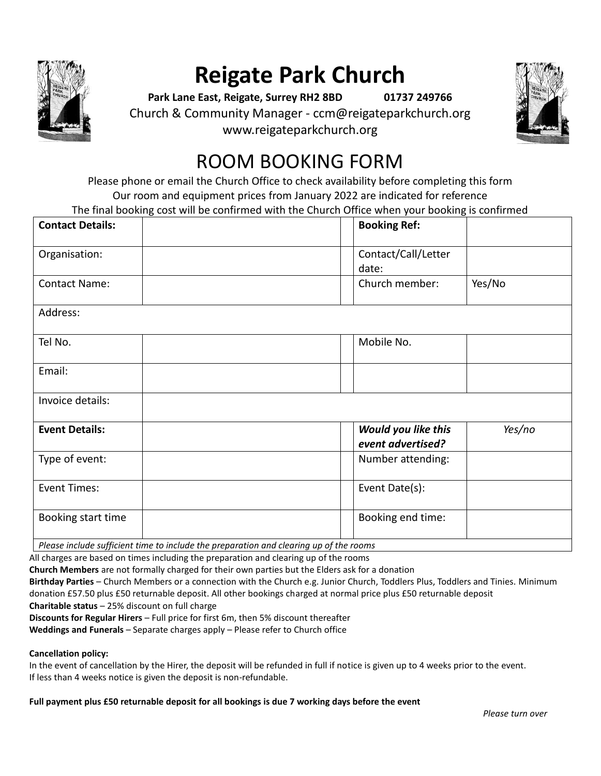

# **Reigate Park Church**

**Park Lane East, Reigate, Surrey RH2 8BD 01737 249766**





### www.reigateparkchurch.org

## ROOM BOOKING FORM

Please phone or email the Church Office to check availability before completing this form Our room and equipment prices from January 2022 are indicated for reference The final booking cost will be confirmed with the Church Office when your booking is confirmed

| <b>Contact Details:</b> | <b>Booking Ref:</b>                      |                   |  |
|-------------------------|------------------------------------------|-------------------|--|
| Organisation:           | Contact/Call/Letter<br>date:             |                   |  |
| <b>Contact Name:</b>    | Church member:                           | Yes/No            |  |
| Address:                |                                          |                   |  |
| Tel No.                 | Mobile No.                               |                   |  |
| Email:                  |                                          |                   |  |
| Invoice details:        |                                          |                   |  |
| <b>Event Details:</b>   | Would you like this<br>event advertised? | Yes/no            |  |
| Type of event:          | Number attending:                        |                   |  |
| <b>Event Times:</b>     | Event Date(s):                           |                   |  |
| Booking start time      |                                          | Booking end time: |  |

*Please include sufficient time to include the preparation and clearing up of the rooms* All charges are based on times including the preparation and clearing up of the rooms

**Church Members** are not formally charged for their own parties but the Elders ask for a donation

**Birthday Parties** – Church Members or a connection with the Church e.g. Junior Church, Toddlers Plus, Toddlers and Tinies. Minimum donation £57.50 plus £50 returnable deposit. All other bookings charged at normal price plus £50 returnable deposit **Charitable status** – 25% discount on full charge

**Discounts for Regular Hirers** – Full price for first 6m, then 5% discount thereafter

**Weddings and Funerals** – Separate charges apply – Please refer to Church office

#### **Cancellation policy:**

In the event of cancellation by the Hirer, the deposit will be refunded in full if notice is given up to 4 weeks prior to the event. If less than 4 weeks notice is given the deposit is non-refundable.

**Full payment plus £50 returnable deposit for all bookings is due 7 working days before the event**